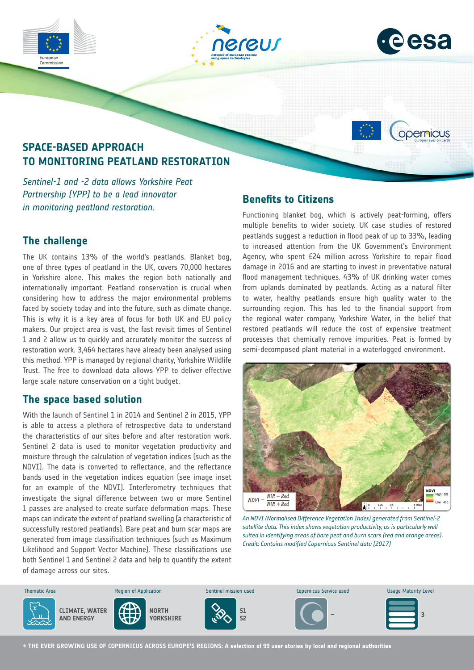







# **SPACE-BASED APPROACH TO MONITORING PEATLAND RESTORATION**

*Sentinel-1 and -2 data allows Yorkshire Peat Partnership (YPP) to be a lead innovator in monitoring peatland restoration.*

# **The challenge**

The UK contains 13% of the world's peatlands. Blanket bog, one of three types of peatland in the UK, covers 70,000 hectares in Yorkshire alone. This makes the region both nationally and internationally important. Peatland conservation is crucial when considering how to address the major environmental problems faced by society today and into the future, such as climate change. This is why it is a key area of focus for both UK and EU policy makers. Our project area is vast, the fast revisit times of Sentinel 1 and 2 allow us to quickly and accurately monitor the success of restoration work. 3,464 hectares have already been analysed using this method. YPP is managed by regional charity, Yorkshire Wildlife Trust. The free to download data allows YPP to deliver effective large scale nature conservation on a tight budget.

# **The space based solution**

With the launch of Sentinel 1 in 2014 and Sentinel 2 in 2015, YPP is able to access a plethora of retrospective data to understand the characteristics of our sites before and after restoration work. Sentinel 2 data is used to monitor vegetation productivity and moisture through the calculation of vegetation indices (such as the NDVI). The data is converted to reflectance, and the reflectance bands used in the vegetation indices equation (see image inset for an example of the NDVI). Interferometry techniques that investigate the signal difference between two or more Sentinel 1 passes are analysed to create surface deformation maps. These maps can indicate the extent of peatland swelling (a characteristic of successfully restored peatlands). Bare peat and burn scar maps are generated from image classification techniques (such as Maximum Likelihood and Support Vector Machine). These classifications use both Sentinel 1 and Sentinel 2 data and help to quantify the extent of damage across our sites.

### **Benefits to Citizens**

Functioning blanket bog, which is actively peat-forming, offers multiple benefits to wider society. UK case studies of restored peatlands suggest a reduction in flood peak of up to 33%, leading to increased attention from the UK Government's Environment Agency, who spent £24 million across Yorkshire to repair flood damage in 2016 and are starting to invest in preventative natural flood management techniques. 43% of UK drinking water comes from uplands dominated by peatlands. Acting as a natural filter to water, healthy peatlands ensure high quality water to the surrounding region. This has led to the financial support from the regional water company, Yorkshire Water, in the belief that restored peatlands will reduce the cost of expensive treatment processes that chemically remove impurities. Peat is formed by semi-decomposed plant material in a waterlogged environment.



*An NDVI (Normalised Difference Vegetation Index) generated from Sentinel-2*  satellite data. This index shows vegetation productivity, as is particularly well *suited in identifying areas of bare peat and burn scars (red and orange areas). Credit: Contains modified Copernicus Sentinel data [2017]*



**→ THE EVER GROWING USE OF COPERNICUS ACROSS EUROPE'S REGIONS: A selection of 99 user stories by local and regional authorities**